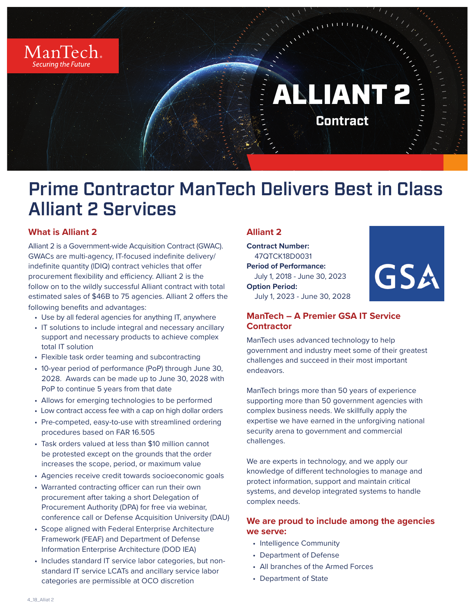

# Prime Contractor ManTech Delivers Best in Class Alliant 2 Services

# **What is Alliant 2**

Alliant 2 is a Government-wide Acquisition Contract (GWAC). GWACs are multi-agency, IT-focused indefinite delivery/ indefinite quantity (lDIQ) contract vehicles that offer procurement flexibility and efficiency. Alliant 2 is the follow on to the wildly successful Alliant contract with total estimated sales of \$46B to 75 agencies. Alliant 2 offers the following benefits and advantages:

- Use by all federal agencies for anything IT, anywhere
- IT solutions to include integral and necessary ancillary support and necessary products to achieve complex total IT solution
- Flexible task order teaming and subcontracting
- 10-year period of performance (PoP) through June 30, 2028. Awards can be made up to June 30, 2028 with PoP to continue 5 years from that date
- Allows for emerging technologies to be performed
- Low contract access fee with a cap on high dollar orders
- Pre-competed, easy-to-use with streamlined ordering procedures based on FAR 16.505
- Task orders valued at less than \$10 million cannot be protested except on the grounds that the order increases the scope, period, or maximum value
- Agencies receive credit towards socioeconomic goals
- Warranted contracting officer can run their own procurement after taking a short Delegation of Procurement Authority (DPA) for free via webinar, conference call or Defense Acquisition University (DAU)
- Scope aligned with Federal Enterprise Architecture Framework (FEAF) and Department of Defense Information Enterprise Architecture (DOD IEA)
- Includes standard IT service labor categories, but nonstandard IT service LCATs and ancillary service labor categories are permissible at OCO discretion

# **Alliant 2**

**Contract Number:**  47QTCK18D0031 **Period of Performance:** July 1, 2018 - June 30, 2023 **Option Period:**  July 1, 2023 - June 30, 2028



# **ManTech – A Premier GSA IT Service Contractor**

ManTech uses advanced technology to help government and industry meet some of their greatest challenges and succeed in their most important endeavors.

ManTech brings more than 50 years of experience supporting more than 50 government agencies with complex business needs. We skillfully apply the expertise we have earned in the unforgiving national security arena to government and commercial challenges.

We are experts in technology, and we apply our knowledge of different technologies to manage and protect information, support and maintain critical systems, and develop integrated systems to handle complex needs.

## **We are proud to include among the agencies we serve:**

- Intelligence Community
- Department of Defense
- All branches of the Armed Forces
- Department of State